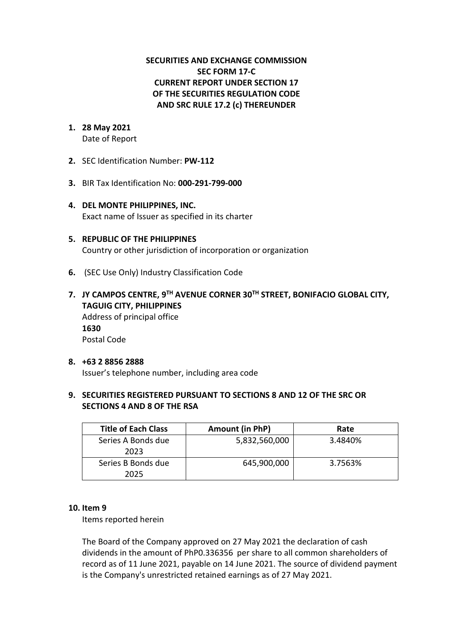## **SECURITIES AND EXCHANGE COMMISSION SEC FORM 17-C CURRENT REPORT UNDER SECTION 17 OF THE SECURITIES REGULATION CODE AND SRC RULE 17.2 (c) THEREUNDER**

# **1. 28 May 2021**

Date of Report

- **2.** SEC Identification Number: **PW-112**
- **3.** BIR Tax Identification No: **000-291-799-000**
- **4. DEL MONTE PHILIPPINES, INC.**  Exact name of Issuer as specified in its charter
- **5. REPUBLIC OF THE PHILIPPINES** Country or other jurisdiction of incorporation or organization
- **6.** (SEC Use Only) Industry Classification Code
- **7. JY CAMPOS CENTRE, 9TH AVENUE CORNER 30TH STREET, BONIFACIO GLOBAL CITY, TAGUIG CITY, PHILIPPINES** Address of principal office **1630** Postal Code

#### **8. +63 2 8856 2888** Issuer's telephone number, including area code

## **9. SECURITIES REGISTERED PURSUANT TO SECTIONS 8 AND 12 OF THE SRC OR SECTIONS 4 AND 8 OF THE RSA**

| <b>Title of Each Class</b> | Amount (in PhP) | Rate    |
|----------------------------|-----------------|---------|
| Series A Bonds due<br>2023 | 5,832,560,000   | 3.4840% |
| Series B Bonds due<br>2025 | 645,900,000     | 3.7563% |

#### **10. Item 9**

Items reported herein

The Board of the Company approved on 27 May 2021 the declaration of cash dividends in the amount of PhP0.336356 per share to all common shareholders of record as of 11 June 2021, payable on 14 June 2021. The source of dividend payment is the Company's unrestricted retained earnings as of 27 May 2021.